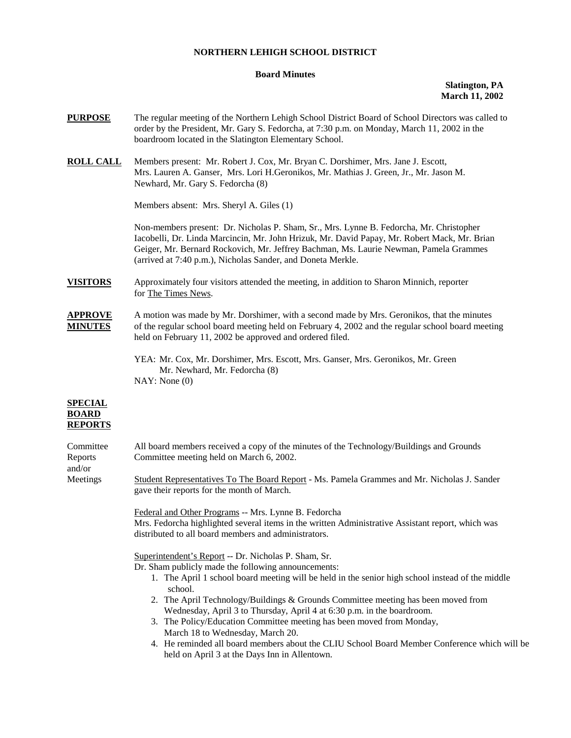## **NORTHERN LEHIGH SCHOOL DISTRICT**

## **Board Minutes**

**Slatington, PA March 11, 2002** 

- **PURPOSE** The regular meeting of the Northern Lehigh School District Board of School Directors was called to order by the President, Mr. Gary S. Fedorcha, at 7:30 p.m. on Monday, March 11, 2002 in the boardroom located in the Slatington Elementary School.
- **ROLL CALL** Members present: Mr. Robert J. Cox, Mr. Bryan C. Dorshimer, Mrs. Jane J. Escott, Mrs. Lauren A. Ganser, Mrs. Lori H.Geronikos, Mr. Mathias J. Green, Jr., Mr. Jason M. Newhard, Mr. Gary S. Fedorcha (8)

Members absent: Mrs. Sheryl A. Giles (1)

Non-members present: Dr. Nicholas P. Sham, Sr., Mrs. Lynne B. Fedorcha, Mr. Christopher Iacobelli, Dr. Linda Marcincin, Mr. John Hrizuk, Mr. David Papay, Mr. Robert Mack, Mr. Brian Geiger, Mr. Bernard Rockovich, Mr. Jeffrey Bachman, Ms. Laurie Newman, Pamela Grammes (arrived at 7:40 p.m.), Nicholas Sander, and Doneta Merkle.

**VISITORS** Approximately four visitors attended the meeting, in addition to Sharon Minnich, reporter for The Times News.

**APPROVE** A motion was made by Mr. Dorshimer, with a second made by Mrs. Geronikos, that the minutes **MINUTES** of the regular school board meeting held on February 4, 2002 and the regular school board meeting held on February 11, 2002 be approved and ordered filed.

> YEA: Mr. Cox, Mr. Dorshimer, Mrs. Escott, Mrs. Ganser, Mrs. Geronikos, Mr. Green Mr. Newhard, Mr. Fedorcha (8) NAY: None (0)

## **SPECIAL BOARD REPORTS**

| Committee<br>Reports<br>and/or | All board members received a copy of the minutes of the Technology/Buildings and Grounds<br>Committee meeting held on March 6, 2002.      |
|--------------------------------|-------------------------------------------------------------------------------------------------------------------------------------------|
| Meetings                       | Student Representatives To The Board Report - Ms. Pamela Grammes and Mr. Nicholas J. Sander<br>gave their reports for the month of March. |
|                                | Federal and Other Programs -- Mrs. Lynne B. Fedorcha                                                                                      |
|                                | Mrs. Fedorcha highlighted several items in the written Administrative Assistant report, which was                                         |
|                                | distributed to all board members and administrators.                                                                                      |
|                                | Superintendent's Report -- Dr. Nicholas P. Sham, Sr.                                                                                      |
|                                | Dr. Sham publicly made the following announcements:                                                                                       |
|                                | 1. The April 1 school board meeting will be held in the senior high school instead of the middle<br>school.                               |
|                                | 2. The April Technology/Buildings & Grounds Committee meeting has been moved from                                                         |
|                                | Wednesday, April 3 to Thursday, April 4 at 6:30 p.m. in the boardroom.                                                                    |
|                                | 3. The Policy/Education Committee meeting has been moved from Monday,                                                                     |
|                                | March 18 to Wednesday, March 20.                                                                                                          |
|                                | 4. He reminded all board members about the CLIU School Board Member Conference which will be                                              |
|                                | held on April 3 at the Days Inn in Allentown.                                                                                             |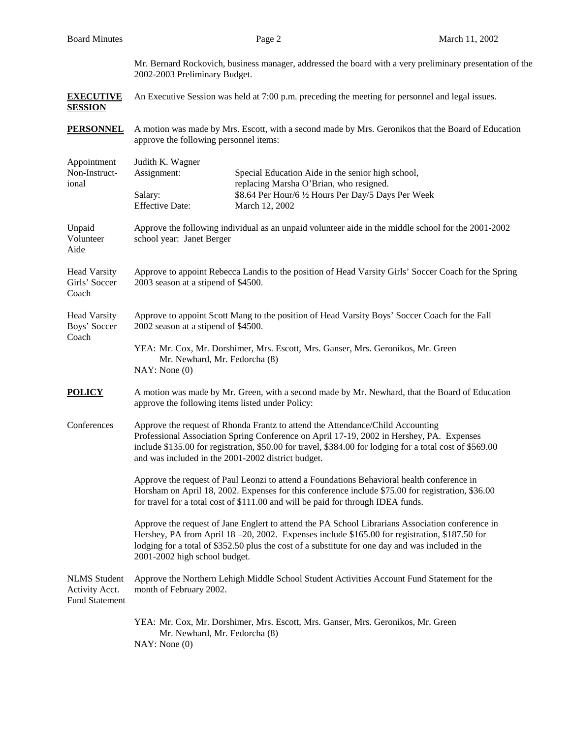Mr. Bernard Rockovich, business manager, addressed the board with a very preliminary presentation of the 2002-2003 Preliminary Budget.

- **EXECUTIVE** An Executive Session was held at 7:00 p.m. preceding the meeting for personnel and legal issues. **SESSION**
- **PERSONNEL** A motion was made by Mrs. Escott, with a second made by Mrs. Geronikos that the Board of Education approve the following personnel items:

| Appointment   | Judith K. Wagner       |                                                     |
|---------------|------------------------|-----------------------------------------------------|
| Non-Instruct- | Assignment:            | Special Education Aide in the senior high school,   |
| ional         |                        | replacing Marsha O'Brian, who resigned.             |
|               | Salary:                | \$8.64 Per Hour/6 1/2 Hours Per Day/5 Days Per Week |
|               | <b>Effective Date:</b> | March 12, 2002                                      |
|               |                        |                                                     |

Unpaid Approve the following individual as an unpaid volunteer aide in the middle school for the 2001-2002 Volunteer school year: Janet Berger Aide

- Head Varsity Approve to appoint Rebecca Landis to the position of Head Varsity Girls' Soccer Coach for the Spring Girls' Soccer 2003 season at a stipend of \$4500. Coach
- Head Varsity Approve to appoint Scott Mang to the position of Head Varsity Boys' Soccer Coach for the Fall Boys' Soccer 2002 season at a stipend of \$4500. Coach
	- YEA: Mr. Cox, Mr. Dorshimer, Mrs. Escott, Mrs. Ganser, Mrs. Geronikos, Mr. Green Mr. Newhard, Mr. Fedorcha (8) NAY: None (0)
- **POLICY** A motion was made by Mr. Green, with a second made by Mr. Newhard, that the Board of Education approve the following items listed under Policy:
- Conferences Approve the request of Rhonda Frantz to attend the Attendance/Child Accounting Professional Association Spring Conference on April 17-19, 2002 in Hershey, PA. Expenses include \$135.00 for registration, \$50.00 for travel, \$384.00 for lodging for a total cost of \$569.00 and was included in the 2001-2002 district budget.

Approve the request of Paul Leonzi to attend a Foundations Behavioral health conference in Horsham on April 18, 2002. Expenses for this conference include \$75.00 for registration, \$36.00 for travel for a total cost of \$111.00 and will be paid for through IDEA funds.

Approve the request of Jane Englert to attend the PA School Librarians Association conference in Hershey, PA from April 18 –20, 2002. Expenses include \$165.00 for registration, \$187.50 for lodging for a total of \$352.50 plus the cost of a substitute for one day and was included in the 2001-2002 high school budget.

NLMS Student Approve the Northern Lehigh Middle School Student Activities Account Fund Statement for the Activity Acct. month of February 2002. Fund Statement

- YEA: Mr. Cox, Mr. Dorshimer, Mrs. Escott, Mrs. Ganser, Mrs. Geronikos, Mr. Green Mr. Newhard, Mr. Fedorcha (8)
- NAY: None (0)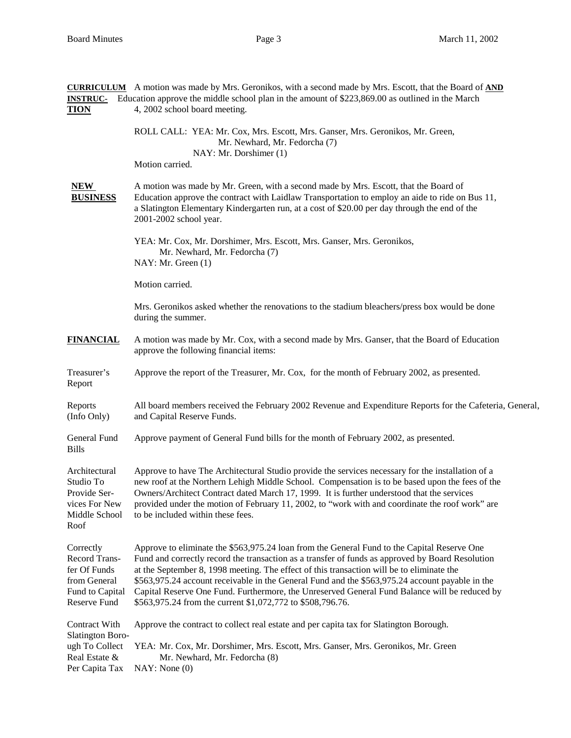| <b>INSTRUC-</b><br><b>TION</b>                                                                       | <b>CURRICULUM</b> A motion was made by Mrs. Geronikos, with a second made by Mrs. Escott, that the Board of <b>AND</b><br>Education approve the middle school plan in the amount of \$223,869.00 as outlined in the March<br>4, 2002 school board meeting.                                                                                                                                                                                                                                                                                                     |
|------------------------------------------------------------------------------------------------------|----------------------------------------------------------------------------------------------------------------------------------------------------------------------------------------------------------------------------------------------------------------------------------------------------------------------------------------------------------------------------------------------------------------------------------------------------------------------------------------------------------------------------------------------------------------|
|                                                                                                      | ROLL CALL: YEA: Mr. Cox, Mrs. Escott, Mrs. Ganser, Mrs. Geronikos, Mr. Green,<br>Mr. Newhard, Mr. Fedorcha (7)<br>NAY: Mr. Dorshimer (1)<br>Motion carried.                                                                                                                                                                                                                                                                                                                                                                                                    |
| <b>NEW</b><br><b>BUSINESS</b>                                                                        | A motion was made by Mr. Green, with a second made by Mrs. Escott, that the Board of<br>Education approve the contract with Laidlaw Transportation to employ an aide to ride on Bus 11,<br>a Slatington Elementary Kindergarten run, at a cost of \$20.00 per day through the end of the<br>2001-2002 school year.                                                                                                                                                                                                                                             |
|                                                                                                      | YEA: Mr. Cox, Mr. Dorshimer, Mrs. Escott, Mrs. Ganser, Mrs. Geronikos,<br>Mr. Newhard, Mr. Fedorcha (7)<br>NAY: Mr. Green (1)                                                                                                                                                                                                                                                                                                                                                                                                                                  |
|                                                                                                      | Motion carried.                                                                                                                                                                                                                                                                                                                                                                                                                                                                                                                                                |
|                                                                                                      | Mrs. Geronikos asked whether the renovations to the stadium bleachers/press box would be done<br>during the summer.                                                                                                                                                                                                                                                                                                                                                                                                                                            |
| <b>FINANCIAL</b>                                                                                     | A motion was made by Mr. Cox, with a second made by Mrs. Ganser, that the Board of Education<br>approve the following financial items:                                                                                                                                                                                                                                                                                                                                                                                                                         |
| Treasurer's<br>Report                                                                                | Approve the report of the Treasurer, Mr. Cox, for the month of February 2002, as presented.                                                                                                                                                                                                                                                                                                                                                                                                                                                                    |
| Reports<br>(Info Only)                                                                               | All board members received the February 2002 Revenue and Expenditure Reports for the Cafeteria, General,<br>and Capital Reserve Funds.                                                                                                                                                                                                                                                                                                                                                                                                                         |
| General Fund<br>Bills                                                                                | Approve payment of General Fund bills for the month of February 2002, as presented.                                                                                                                                                                                                                                                                                                                                                                                                                                                                            |
| Architectural<br>Studio To<br>Provide Ser-<br>vices For New<br>Middle School<br>Roof                 | Approve to have The Architectural Studio provide the services necessary for the installation of a<br>new roof at the Northern Lehigh Middle School. Compensation is to be based upon the fees of the<br>Owners/Architect Contract dated March 17, 1999. It is further understood that the services<br>provided under the motion of February 11, 2002, to "work with and coordinate the roof work" are<br>to be included within these fees.                                                                                                                     |
| Correctly<br><b>Record Trans-</b><br>fer Of Funds<br>from General<br>Fund to Capital<br>Reserve Fund | Approve to eliminate the \$563,975.24 loan from the General Fund to the Capital Reserve One<br>Fund and correctly record the transaction as a transfer of funds as approved by Board Resolution<br>at the September 8, 1998 meeting. The effect of this transaction will be to eliminate the<br>\$563,975.24 account receivable in the General Fund and the \$563,975.24 account payable in the<br>Capital Reserve One Fund. Furthermore, the Unreserved General Fund Balance will be reduced by<br>\$563,975.24 from the current \$1,072,772 to \$508,796.76. |
| Contract With<br><b>Slatington Boro-</b>                                                             | Approve the contract to collect real estate and per capita tax for Slatington Borough.                                                                                                                                                                                                                                                                                                                                                                                                                                                                         |
| ugh To Collect<br>Real Estate &<br>Per Capita Tax                                                    | YEA: Mr. Cox, Mr. Dorshimer, Mrs. Escott, Mrs. Ganser, Mrs. Geronikos, Mr. Green<br>Mr. Newhard, Mr. Fedorcha (8)<br>NAY: None(0)                                                                                                                                                                                                                                                                                                                                                                                                                              |
|                                                                                                      |                                                                                                                                                                                                                                                                                                                                                                                                                                                                                                                                                                |